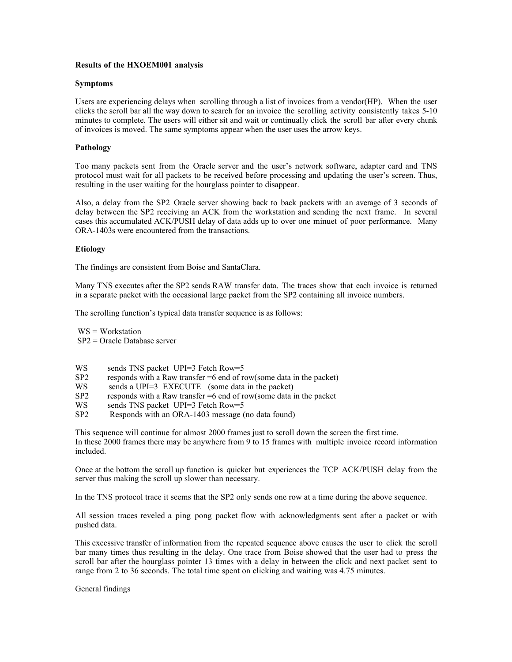# Results of the HXOEM001 analysis

## Symptoms

Users are experiencing delays when scrolling through a list of invoices from a vendor(HP). When the user clicks the scroll bar all the way down to search for an invoice the scrolling activity consistently takes 5-10 minutes to complete. The users will either sit and wait or continually click the scroll bar after every chunk of invoices is moved. The same symptoms appear when the user uses the arrow keys.

## Pathology

Too many packets sent from the Oracle server and the user's network software, adapter card and TNS protocol must wait for all packets to be received before processing and updating the user's screen. Thus, resulting in the user waiting for the hourglass pointer to disappear.

Also, a delay from the SP2 Oracle server showing back to back packets with an average of 3 seconds of delay between the SP2 receiving an ACK from the workstation and sending the next frame. In several cases this accumulated ACK/PUSH delay of data adds up to over one minuet of poor performance. Many ORA-1403s were encountered from the transactions.

## Etiology

The findings are consistent from Boise and SantaClara.

Many TNS executes after the SP2 sends RAW transfer data. The traces show that each invoice is returned in a separate packet with the occasional large packet from the SP2 containing all invoice numbers.

The scrolling function's typical data transfer sequence is as follows:

WS = Workstation SP2 = Oracle Database server

- WS sends TNS packet UPI=3 Fetch Row=5
- SP2 responds with a Raw transfer =6 end of row(some data in the packet)<br>WS sends a UPI=3 EXECUTE (some data in the packet)
- sends a UPI=3 EXECUTE (some data in the packet)
- SP2 responds with a Raw transfer =6 end of row(some data in the packet
- WS sends TNS packet UPI=3 Fetch Row=5<br>SP2 Responds with an ORA-1403 message (
- Responds with an ORA-1403 message (no data found)

This sequence will continue for almost 2000 frames just to scroll down the screen the first time. In these 2000 frames there may be anywhere from 9 to 15 frames with multiple invoice record information included.

Once at the bottom the scroll up function is quicker but experiences the TCP ACK/PUSH delay from the server thus making the scroll up slower than necessary.

In the TNS protocol trace it seems that the SP2 only sends one row at a time during the above sequence.

All session traces reveled a ping pong packet flow with acknowledgments sent after a packet or with pushed data.

This excessive transfer of information from the repeated sequence above causes the user to click the scroll bar many times thus resulting in the delay. One trace from Boise showed that the user had to press the scroll bar after the hourglass pointer 13 times with a delay in between the click and next packet sent to range from 2 to 36 seconds. The total time spent on clicking and waiting was 4.75 minutes.

General findings